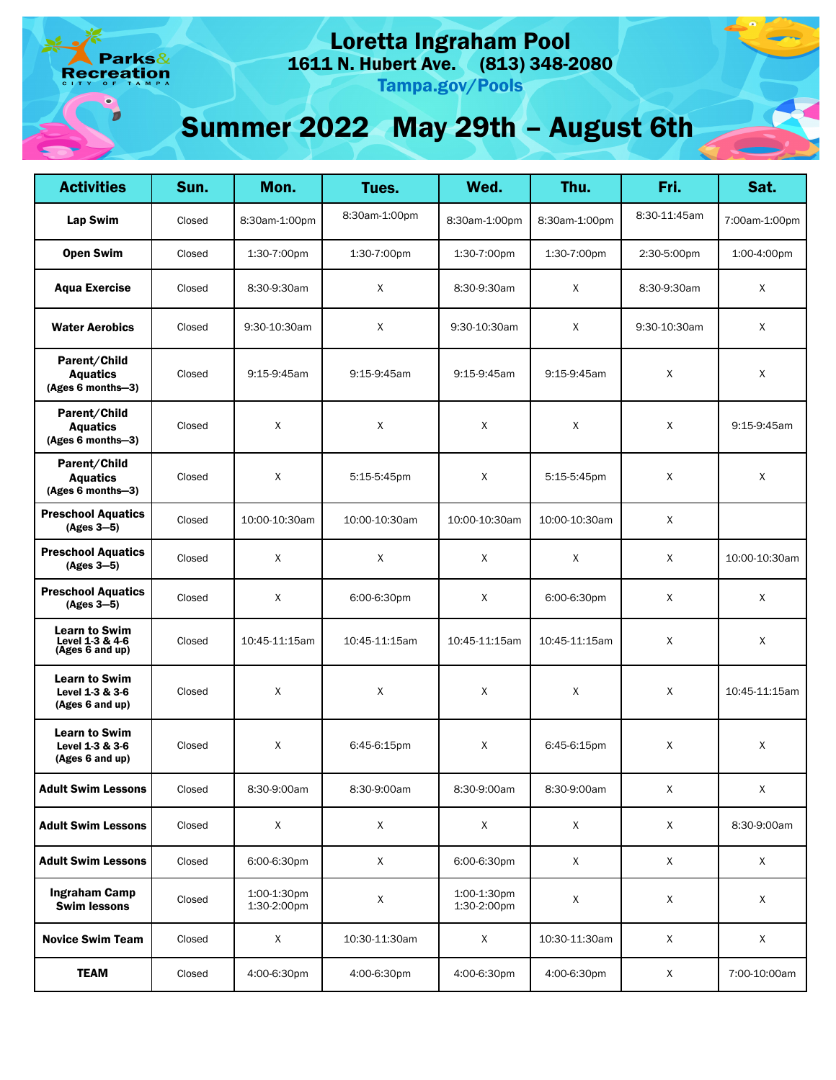arks& eation

# Loretta Ingraham Pool

1611 N. Hubert Ave. (813) 348-2080

Tampa.gov/Pools

## Summer 2022 May 29th – August 6th

| <b>Activities</b>                                          | Sun.   | Mon.                       | Tues.         | Wed.                       | Thu.           | Fri.         | Sat.          |
|------------------------------------------------------------|--------|----------------------------|---------------|----------------------------|----------------|--------------|---------------|
| Lap Swim                                                   | Closed | 8:30am-1:00pm              | 8:30am-1:00pm | 8:30am-1:00pm              | 8:30am-1:00pm  | 8:30-11:45am | 7:00am-1:00pm |
| <b>Open Swim</b>                                           | Closed | 1:30-7:00pm                | 1:30-7:00pm   | 1:30-7:00pm                | 1:30-7:00pm    | 2:30-5:00pm  | 1:00-4:00pm   |
| <b>Aqua Exercise</b>                                       | Closed | 8:30-9:30am                | X             | 8:30-9:30am                | X              | 8:30-9:30am  | X             |
| <b>Water Aerobics</b>                                      | Closed | 9:30-10:30am               | X             | 9:30-10:30am               | X              | 9:30-10:30am | X             |
| Parent/Child<br><b>Aquatics</b><br>(Ages 6 months-3)       | Closed | 9:15-9:45am                | 9:15-9:45am   | 9:15-9:45am                | 9:15-9:45am    | X            | Χ             |
| Parent/Child<br><b>Aquatics</b><br>(Ages 6 months-3)       | Closed | X                          | X             | X                          | X              | X            | 9:15-9:45am   |
| Parent/Child<br><b>Aquatics</b><br>(Ages 6 months-3)       | Closed | Χ                          | 5:15-5:45pm   | Χ                          | $5:15-5:45$ pm | Χ            | X             |
| <b>Preschool Aquatics</b><br>$(Ages 3-5)$                  | Closed | 10:00-10:30am              | 10:00-10:30am | 10:00-10:30am              | 10:00-10:30am  | X            |               |
| <b>Preschool Aquatics</b><br>$(Ages 3-5)$                  | Closed | X                          | $\mathsf{X}$  | $\mathsf{X}$               | Χ              | X            | 10:00-10:30am |
| <b>Preschool Aquatics</b><br>$(Ages 3-5)$                  | Closed | Χ                          | 6:00-6:30pm   | Χ                          | 6:00-6:30pm    | X            | X             |
| <b>Learn to Swim</b><br>Level 1-3 & 4-6<br>(Ages 6 and up) | Closed | 10:45-11:15am              | 10:45-11:15am | 10:45-11:15am              | 10:45-11:15am  | X            | X             |
| <b>Learn to Swim</b><br>Level 1-3 & 3-6<br>(Ages 6 and up) | Closed | Χ                          | X             | Χ                          | X              | Χ            | 10:45-11:15am |
| <b>Learn to Swim</b><br>Level 1-3 & 3-6<br>(Ages 6 and up) | Closed | X                          | 6:45-6:15pm   | X                          | 6:45-6:15pm    | X            | Χ             |
| <b>Adult Swim Lessons</b>                                  | Closed | 8:30-9:00am                | 8:30-9:00am   | 8:30-9:00am                | 8:30-9:00am    | X            | $\mathsf X$   |
| <b>Adult Swim Lessons</b>                                  | Closed | X                          | X             | X                          | X              | $\mathsf X$  | 8:30-9:00am   |
| <b>Adult Swim Lessons</b>                                  | Closed | 6:00-6:30pm                | X             | 6:00-6:30pm                | X              | X            | X             |
| <b>Ingraham Camp</b><br><b>Swim lessons</b>                | Closed | 1:00-1:30pm<br>1:30-2:00pm | X             | 1:00-1:30pm<br>1:30-2:00pm | $\mathsf X$    | X            | X             |
| <b>Novice Swim Team</b>                                    | Closed | X                          | 10:30-11:30am | X                          | 10:30-11:30am  | $\mathsf{X}$ | X             |
| <b>TEAM</b>                                                | Closed | 4:00-6:30pm                | 4:00-6:30pm   | 4:00-6:30pm                | 4:00-6:30pm    | X            | 7:00-10:00am  |